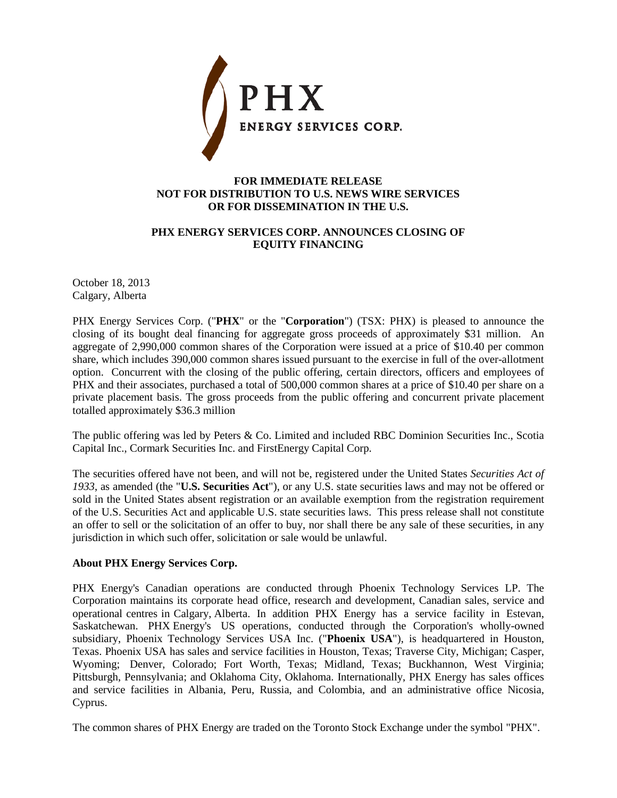

## **FOR IMMEDIATE RELEASE NOT FOR DISTRIBUTION TO U.S. NEWS WIRE SERVICES OR FOR DISSEMINATION IN THE U.S.**

## **PHX ENERGY SERVICES CORP. ANNOUNCES CLOSING OF EQUITY FINANCING**

October 18, 2013 Calgary, Alberta

PHX Energy Services Corp. ("**PHX**" or the "**Corporation**") (TSX: PHX) is pleased to announce the closing of its bought deal financing for aggregate gross proceeds of approximately \$31 million. An aggregate of 2,990,000 common shares of the Corporation were issued at a price of \$10.40 per common share, which includes 390,000 common shares issued pursuant to the exercise in full of the over-allotment option. Concurrent with the closing of the public offering, certain directors, officers and employees of PHX and their associates, purchased a total of 500,000 common shares at a price of \$10.40 per share on a private placement basis. The gross proceeds from the public offering and concurrent private placement totalled approximately \$36.3 million

The public offering was led by Peters & Co. Limited and included RBC Dominion Securities Inc., Scotia Capital Inc., Cormark Securities Inc. and FirstEnergy Capital Corp.

The securities offered have not been, and will not be, registered under the United States *Securities Act of 1933*, as amended (the "**U.S. Securities Act**"), or any U.S. state securities laws and may not be offered or sold in the United States absent registration or an available exemption from the registration requirement of the U.S. Securities Act and applicable U.S. state securities laws. This press release shall not constitute an offer to sell or the solicitation of an offer to buy, nor shall there be any sale of these securities, in any jurisdiction in which such offer, solicitation or sale would be unlawful.

## **About PHX Energy Services Corp.**

PHX Energy's Canadian operations are conducted through Phoenix Technology Services LP. The Corporation maintains its corporate head office, research and development, Canadian sales, service and operational centres in Calgary, Alberta. In addition PHX Energy has a service facility in Estevan, Saskatchewan. PHX Energy's US operations, conducted through the Corporation's wholly-owned subsidiary, Phoenix Technology Services USA Inc. ("**Phoenix USA**"), is headquartered in Houston, Texas. Phoenix USA has sales and service facilities in Houston, Texas; Traverse City, Michigan; Casper, Wyoming; Denver, Colorado; Fort Worth, Texas; Midland, Texas; Buckhannon, West Virginia; Pittsburgh, Pennsylvania; and Oklahoma City, Oklahoma. Internationally, PHX Energy has sales offices and service facilities in Albania, Peru, Russia, and Colombia, and an administrative office Nicosia, Cyprus.

The common shares of PHX Energy are traded on the Toronto Stock Exchange under the symbol "PHX".